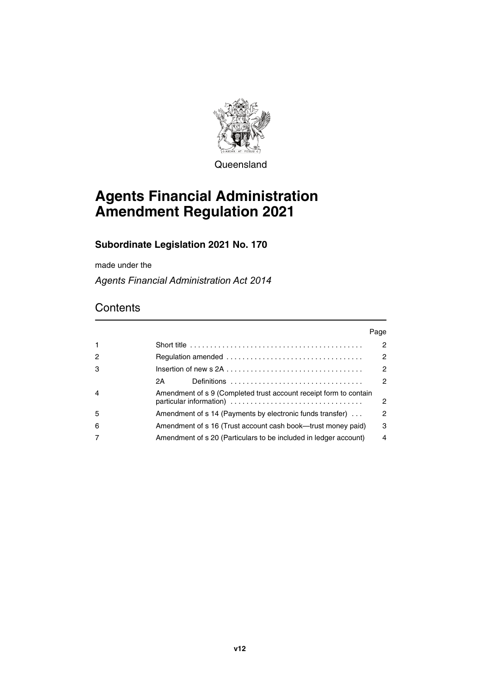

Queensland

# **Agents Financial Administration Amendment Regulation 2021**

# **Subordinate Legislation 2021 No. 170**

made under the

*Agents Financial Administration Act 2014*

# **Contents**

|                |                                                                                            | Page |
|----------------|--------------------------------------------------------------------------------------------|------|
| $\mathbf 1$    | Short title $\ldots \ldots \ldots \ldots \ldots \ldots \ldots \ldots \ldots \ldots \ldots$ | 2    |
| $\overline{c}$ |                                                                                            | 2    |
| 3              |                                                                                            | 2    |
|                | Definitions $\ldots \ldots \ldots \ldots \ldots \ldots \ldots \ldots \ldots$<br>2A -       | 2    |
| 4              | Amendment of s 9 (Completed trust account receipt form to contain                          | 2    |
| 5              | Amendment of s 14 (Payments by electronic funds transfer)                                  | 2    |
| 6              | Amendment of s 16 (Trust account cash book—trust money paid)                               | 3    |
|                | Amendment of s 20 (Particulars to be included in ledger account)                           | 4    |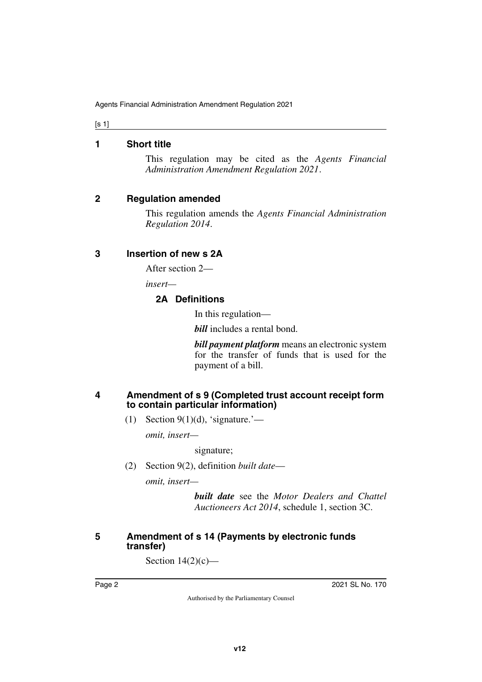[s 1]

#### <span id="page-1-0"></span>**1 Short title**

<span id="page-1-1"></span>This regulation may be cited as the *Agents Financial Administration Amendment Regulation 2021*.

### <span id="page-1-2"></span>**2 Regulation amended**

<span id="page-1-3"></span>This regulation amends the *Agents Financial Administration Regulation 2014*.

### <span id="page-1-4"></span>**3 Insertion of new s 2A**

<span id="page-1-5"></span>After section 2—

*insert—*

## <span id="page-1-7"></span><span id="page-1-6"></span>**2A Definitions**

In this regulation—

*bill* includes a rental bond.

*bill payment platform* means an electronic system for the transfer of funds that is used for the payment of a bill.

#### <span id="page-1-9"></span><span id="page-1-8"></span>**4 Amendment of s 9 (Completed trust account receipt form to contain particular information)**

(1) Section  $9(1)(d)$ , 'signature.'—

*omit, insert—*

signature;

(2) Section 9(2), definition *built date*—

*omit, insert—*

*built date* see the *Motor Dealers and Chattel Auctioneers Act 2014*, schedule 1, section 3C.

### <span id="page-1-11"></span><span id="page-1-10"></span>**5 Amendment of s 14 (Payments by electronic funds transfer)**

Section  $14(2)(c)$ —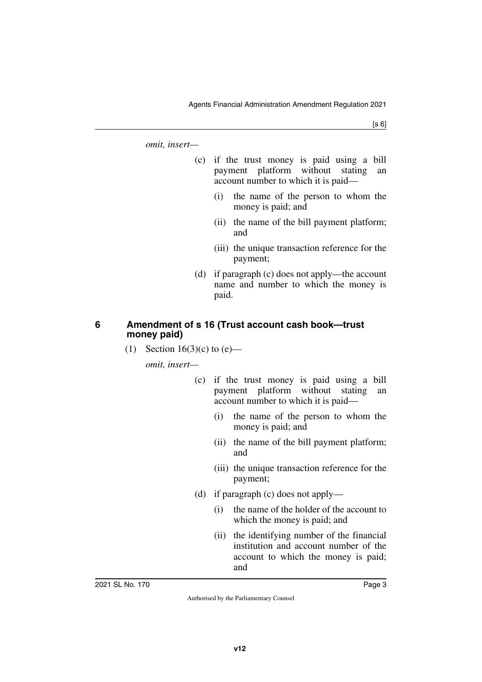[s 6]

*omit, insert—*

- (c) if the trust money is paid using a bill payment platform without stating an account number to which it is paid—
	- (i) the name of the person to whom the money is paid; and
	- (ii) the name of the bill payment platform; and
	- (iii) the unique transaction reference for the payment;
- (d) if paragraph (c) does not apply—the account name and number to which the money is paid.

#### <span id="page-2-1"></span><span id="page-2-0"></span>**6 Amendment of s 16 (Trust account cash book—trust money paid)**

(1) Section 16(3)(c) to  $(e)$ —

*omit, insert—*

- (c) if the trust money is paid using a bill payment platform without stating an account number to which it is paid—
	- (i) the name of the person to whom the money is paid; and
	- (ii) the name of the bill payment platform; and
	- (iii) the unique transaction reference for the payment;
- (d) if paragraph (c) does not apply—
	- (i) the name of the holder of the account to which the money is paid; and
	- (ii) the identifying number of the financial institution and account number of the account to which the money is paid; and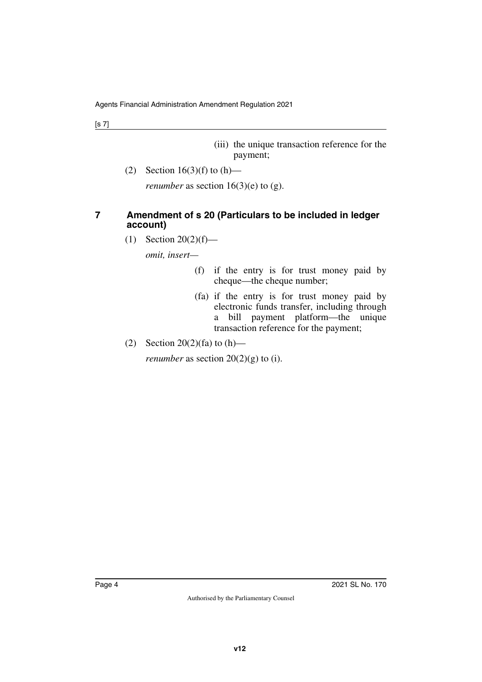(iii) the unique transaction reference for the payment;

(2) Section  $16(3)(f)$  to  $(h)$ —

<span id="page-3-1"></span>*renumber* as section  $16(3)(e)$  to (g).

## <span id="page-3-0"></span>**7 Amendment of s 20 (Particulars to be included in ledger account)**

(1) Section 20(2)(f)—

*omit, insert—*

- (f) if the entry is for trust money paid by cheque—the cheque number;
- (fa) if the entry is for trust money paid by electronic funds transfer, including through a bill payment platform—the unique transaction reference for the payment;
- (2) Section 20(2)(fa) to  $(h)$ —

*renumber* as section  $20(2)(g)$  to (i).